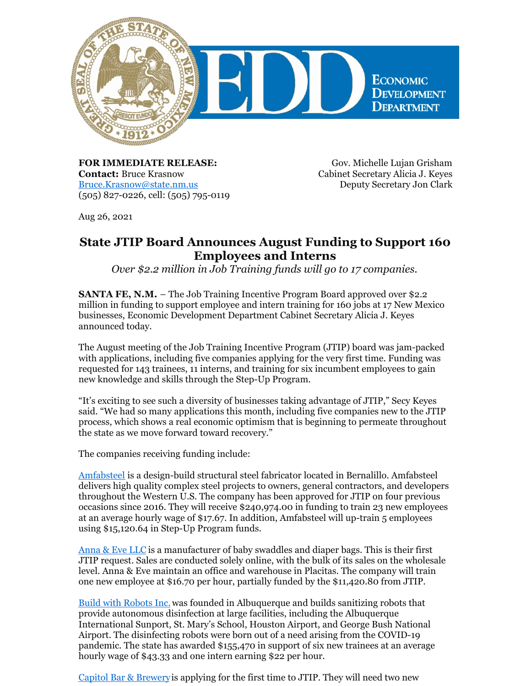

**FOR IMMEDIATE RELEASE: Contact:** Bruce Krasnow [Bruce.Krasnow@state.nm.us](mailto:Bruce.Krasnow@state.nm.us) (505) 827-0226, cell: (505) 795-0119

Gov. Michelle Lujan Grisham Cabinet Secretary Alicia J. Keyes Deputy Secretary Jon Clark

Aug 26, 2021

## **State JTIP Board Announces August Funding to Support 160 Employees and Interns**

*Over \$2.2 million in Job Training funds will go to 17 companies.*

**SANTA FE, N.M.** – The Job Training Incentive Program Board approved over \$2.2 million in funding to support employee and intern training for 160 jobs at 17 New Mexico businesses, Economic Development Department Cabinet Secretary Alicia J. Keyes announced today.

The August meeting of the Job Training Incentive Program (JTIP) board was jam-packed with applications, including five companies applying for the very first time. Funding was requested for 143 trainees, 11 interns, and training for six incumbent employees to gain new knowledge and skills through the Step-Up Program.

"It's exciting to see such a diversity of businesses taking advantage of JTIP," Secy Keyes said. "We had so many applications this month, including five companies new to the JTIP process, which shows a real economic optimism that is beginning to permeate throughout the state as we move forward toward recovery."

The companies receiving funding include:

[Amfabsteel](http://www.amfabsteelinc.com) is a design-build structural steel fabricator located in Bernalillo. Amfabsteel delivers high quality complex steel projects to owners, general contractors, and developers throughout the Western U.S. The company has been approved for JTIP on four previous occasions since 2016. They will receive \$240,974.00 in funding to train 23 new employees at an average hourly wage of \$17.67. In addition, Amfabsteel will up-train 5 employees using \$15,120.64 in Step-Up Program funds.

[Anna](https://annaandeve.com/) & Eve LLC is a manufacturer of baby swaddles and diaper bags. This is their first JTIP request. Sales are conducted solely online, with the bulk of its sales on the wholesale level. Anna & Eve maintain an office and warehouse in Placitas. The company will train one new employee at \$16.70 per hour, partially funded by the \$11,420.80 from JTIP.

Build with [Robots](https://buildwithrobots.com/) Inc. was founded in Albuquerque and builds sanitizing robots that provide autonomous disinfection at large facilities, including the Albuquerque International Sunport, St. Mary's School, Houston Airport, and George Bush National Airport. The disinfecting robots were born out of a need arising from the COVID-19 pandemic. The state has awarded \$155,470 in support of six new trainees at an average hourly wage of \$43.33 and one intern earning \$22 per hour.

Capitol Bar & [Brewery](https://m.facebook.com/capitolbarandbrew1896/)is applying for the first time to JTIP. They will need two new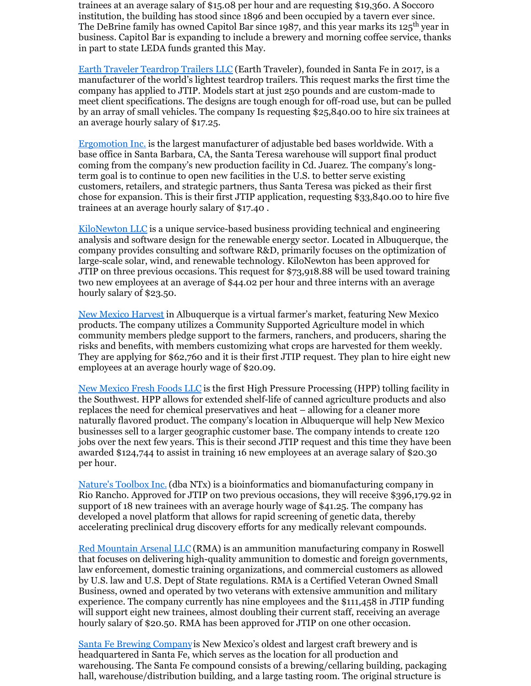trainees at an average salary of \$15.08 per hour and are requesting \$19,360. A Soccoro institution, the building has stood since 1896 and been occupied by a tavern ever since. The DeBrine family has owned Capitol Bar since 1987, and this year marks its 125<sup>th</sup> year in business. Capit0l Bar is expanding to include a brewery and morning coffee service, thanks in part to state LEDA funds granted this May.

Earth Traveler [Teardrop](http://www.earthtravelerteardroptrailers.com) Trailers LLC (Earth Traveler), founded in Santa Fe in 2017, is a manufacturer of the world's lightest teardrop trailers. This request marks the first time the company has applied to JTIP. Models start at just 250 pounds and are custom-made to meet client specifications. The designs are tough enough for off-road use, but can be pulled by an array of small vehicles. The company Is requesting \$25,840.00 to hire six trainees at an average hourly salary of \$17.25.

[Ergomotion](http://www.ergomotion.com) Inc. is the largest manufacturer of adjustable bed bases worldwide. With a base office in Santa Barbara, CA, the Santa Teresa warehouse will support final product coming from the company's new production facility in Cd. Juarez. The company's longterm goal is to continue to open new facilities in the U.S. to better serve existing customers, retailers, and strategic partners, thus Santa Teresa was picked as their first chose for expansion. This is their first JTIP application, requesting \$33,840.00 to hire five trainees at an average hourly salary of \$17.40 .

[KiloNewton](http://www.kilonewtonllc.com) LLC is a unique service-based business providing technical and engineering analysis and software design for the renewable energy sector. Located in Albuquerque, the company provides consulting and software R&D, primarily focuses on the optimization of large-scale solar, wind, and renewable technology. KiloNewton has been approved for JTIP on three previous occasions. This request for \$73,918.88 will be used toward training two new employees at an average of \$44.02 per hour and three interns with an average hourly salary of \$23.50.

New Mexico [Harvest](http://www.newmexicoharvest.com) in Albuquerque is a virtual farmer's market, featuring New Mexico products. The company utilizes a Community Supported Agriculture model in which community members pledge support to the farmers, ranchers, and producers, sharing the risks and benefits, with members customizing what crops are harvested for them weekly. They are applying for \$62,760 and it is their first JTIP request. They plan to hire eight new employees at an average hourly wage of \$20.09.

New [Mexico](https://nmfreshfoods.com/) Fresh Foods LLC is the first High Pressure Processing (HPP) tolling facility in the Southwest. HPP allows for extended shelf-life of canned agriculture products and also replaces the need for chemical preservatives and heat – allowing for a cleaner more naturally flavored product. The company's location in Albuquerque will help New Mexico businesses sell to a larger geographic customer base. The company intends to create 120 jobs over the next few years. This is their second JTIP request and this time they have been awarded \$124,744 to assist in training 16 new employees at an average salary of \$20.30 per hour.

[Nature's](http://www.ntxbio.com) Toolbox Inc.(dba NTx) is a bioinformatics and biomanufacturing company in Rio Rancho. Approved for JTIP on two previous occasions, they will receive \$396,179.92 in support of 18 new trainees with an average hourly wage of \$41.25. The company has developed a novel platform that allows for rapid screening of genetic data, thereby accelerating preclinical drug discovery efforts for any medically relevant compounds.

Red [Mountain](http://www.redmountainarsenal.com) Arsenal LLC (RMA) is an ammunition manufacturing company in Roswell that focuses on delivering high-quality ammunition to domestic and foreign governments, law enforcement, domestic training organizations, and commercial customers as allowed by U.S. law and U.S. Dept of State regulations. RMA is a Certified Veteran Owned Small Business, owned and operated by two veterans with extensive ammunition and military experience. The company currently has nine employees and the \$111,458 in JTIP funding will support eight new trainees, almost doubling their current staff, receiving an average hourly salary of \$20.50. RMA has been approved for JTIP on one other occasion.

Santa Fe Brewing [Company](http://www.santafebrewing.com)is New Mexico's oldest and largest craft brewery and is headquartered in Santa Fe, which serves as the location for all production and warehousing. The Santa Fe compound consists of a brewing/cellaring building, packaging hall, warehouse/distribution building, and a large tasting room. The original structure is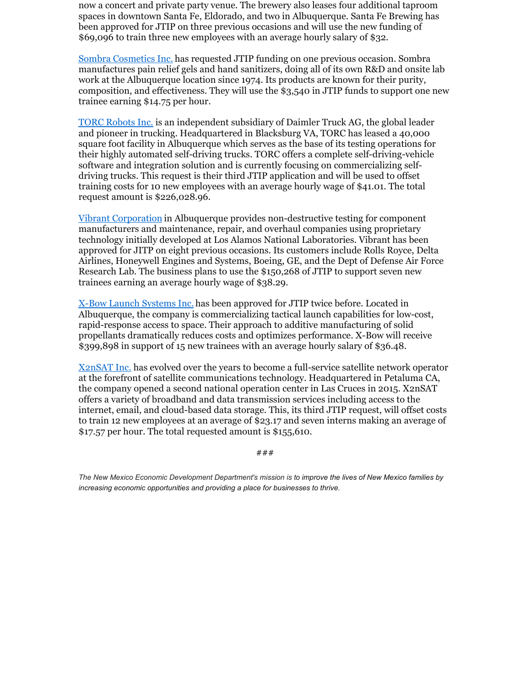now a concert and private party venue. The brewery also leases four additional taproom spaces in downtown Santa Fe, Eldorado, and two in Albuquerque. Santa Fe Brewing has been approved for JTIP on three previous occasions and will use the new funding of \$69,096 to train three new employees with an average hourly salary of \$32.

Sombra [Cosmetics](http://www.sombrausa.com) Inc. has requested JTIP funding on one previous occasion. Sombra manufactures pain relief gels and hand sanitizers, doing all of its own R&D and onsite lab work at the Albuquerque location since 1974. Its products are known for their purity, composition, and effectiveness. They will use the \$3,540 in JTIP funds to support one new trainee earning \$14.75 per hour.

TORC [Robots](https://torc.ai/) Inc. is an independent subsidiary of Daimler Truck AG, the global leader and pioneer in trucking. Headquartered in Blacksburg VA, TORC has leased a 40,000 square foot facility in Albuquerque which serves as the base of its testing operations for their highly automated self-driving trucks. TORC offers a complete self-driving-vehicle software and integration solution and is currently focusing on commercializing selfdriving trucks. This request is their third JTIP application and will be used to offset training costs for 10 new employees with an average hourly wage of \$41.01. The total request amount is \$226,028.96.

Vibrant [Corporation](http://www.vibrantndt.com) in Albuquerque provides non-destructive testing for component manufacturers and maintenance, repair, and overhaul companies using proprietary technology initially developed at Los Alamos National Laboratories. Vibrant has been approved for JITP on eight previous occasions. Its customers include Rolls Royce, Delta Airlines, Honeywell Engines and Systems, Boeing, GE, and the Dept of Defense Air Force Research Lab. The business plans to use the \$150,268 of JTIP to support seven new trainees earning an average hourly wage of \$38.29.

X-Bow Launch [Systems](http://www.xbowsystems.com) Inc. has been approved for JTIP twice before. Located in Albuquerque, the company is commercializing tactical launch capabilities for low-cost, rapid-response access to space. Their approach to additive manufacturing of solid propellants dramatically reduces costs and optimizes performance. X-Bow will receive \$399,898 in support of 15 new trainees with an average hourly salary of \$36.48.

[X2nSAT](http://www.x2nsat.com) Inc. has evolved over the years to become a full-service satellite network operator at the forefront of satellite communications technology. Headquartered in Petaluma CA, the company opened a second national operation center in Las Cruces in 2015. X2nSAT offers a variety of broadband and data transmission services including access to the internet, email, and cloud-based data storage. This, its third JTIP request, will offset costs to train 12 new employees at an average of \$23.17 and seven interns making an average of \$17.57 per hour. The total requested amount is \$155,610.

###

The New Mexico Economic Development Department's mission is to improve the lives of New Mexico families by *increasing economic opportunities and providing a place for businesses to thrive.*